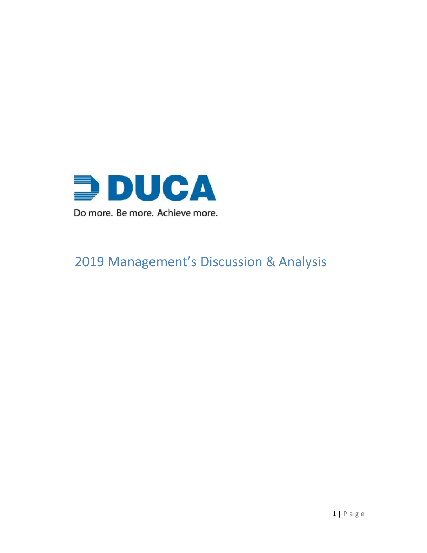

# Management's Discussion & Analysis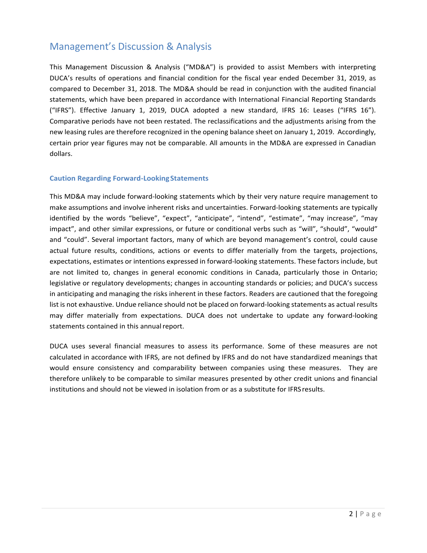# Management's Discussion & Analysis

This Management Discussion & Analysis ("MD&A") is provided to assist Members with interpreting DUCA's results of operations and financial condition for the fiscal year ended December 31, 2019, as compared to December 31, 2018. The MD&A should be read in conjunction with the audited financial statements, which have been prepared in accordance with International Financial Reporting Standards ("IFRS"). Effective January 1, 2019, DUCA adopted a new standard, IFRS 16: Leases ("IFRS 16"). Comparative periods have not been restated. The reclassifications and the adjustments arising from the new leasing rules are therefore recognized in the opening balance sheet on January 1, 2019. Accordingly, certain prior year figures may not be comparable. All amounts in the MD&A are expressed in Canadian dollars.

### **Caution Regarding Forward-LookingStatements**

This MD&A may include forward-looking statements which by their very nature require management to make assumptions and involve inherent risks and uncertainties. Forward-looking statements are typically identified by the words "believe", "expect", "anticipate", "intend", "estimate", "may increase", "may impact", and other similar expressions, or future or conditional verbs such as "will", "should", "would" and "could". Several important factors, many of which are beyond management's control, could cause actual future results, conditions, actions or events to differ materially from the targets, projections, expectations, estimates or intentions expressed in forward-looking statements. These factors include, but are not limited to, changes in general economic conditions in Canada, particularly those in Ontario; legislative or regulatory developments; changes in accounting standards or policies; and DUCA's success in anticipating and managing the risks inherent in these factors. Readers are cautioned that the foregoing list is not exhaustive. Undue reliance should not be placed on forward-looking statements as actual results may differ materially from expectations. DUCA does not undertake to update any forward-looking statements contained in this annual report.

DUCA uses several financial measures to assess its performance. Some of these measures are not calculated in accordance with IFRS, are not defined by IFRS and do not have standardized meanings that would ensure consistency and comparability between companies using these measures. They are therefore unlikely to be comparable to similar measures presented by other credit unions and financial institutions and should not be viewed in isolation from or as a substitute for IFRSresults.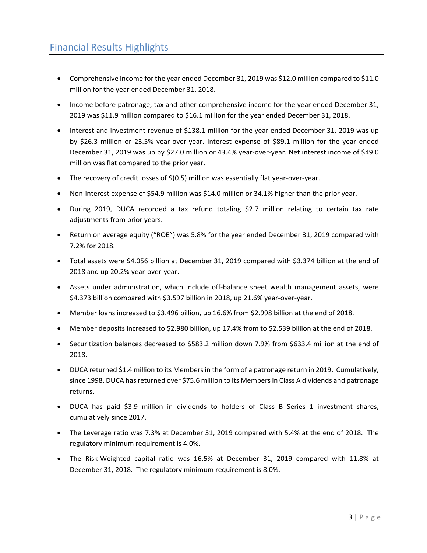- Comprehensive income for the year ended December 31, 2019 was \$12.0 million compared to \$11.0 million for the year ended December 31, 2018.
- Income before patronage, tax and other comprehensive income for the year ended December 31, 2019 was \$11.9 million compared to \$16.1 million for the year ended December 31, 2018.
- Interest and investment revenue of \$138.1 million for the year ended December 31, 2019 was up by \$26.3 million or 23.5% year-over-year. Interest expense of \$89.1 million for the year ended December 31, 2019 was up by \$27.0 million or 43.4% year-over-year. Net interest income of \$49.0 million was flat compared to the prior year.
- The recovery of credit losses of \$(0.5) million was essentially flat year-over-year.
- Non-interest expense of \$54.9 million was \$14.0 million or 34.1% higher than the prior year.
- During 2019, DUCA recorded a tax refund totaling \$2.7 million relating to certain tax rate adjustments from prior years.
- Return on average equity ("ROE") was 5.8% for the year ended December 31, 2019 compared with 7.2% for 2018.
- Total assets were \$4.056 billion at December 31, 2019 compared with \$3.374 billion at the end of 2018 and up 20.2% year-over-year.
- Assets under administration, which include off-balance sheet wealth management assets, were \$4.373 billion compared with \$3.597 billion in 2018, up 21.6% year-over-year.
- Member loans increased to \$3.496 billion, up 16.6% from \$2.998 billion at the end of 2018.
- Member deposits increased to \$2.980 billion, up 17.4% from to \$2.539 billion at the end of 2018.
- Securitization balances decreased to \$583.2 million down 7.9% from \$633.4 million at the end of 2018.
- DUCA returned \$1.4 million to its Members in the form of a patronage return in 2019. Cumulatively, since 1998, DUCA has returned over \$75.6 million to its Members in Class A dividends and patronage returns.
- DUCA has paid \$3.9 million in dividends to holders of Class B Series 1 investment shares, cumulatively since 2017.
- The Leverage ratio was 7.3% at December 31, 2019 compared with 5.4% at the end of 2018. The regulatory minimum requirement is 4.0%.
- The Risk-Weighted capital ratio was 16.5% at December 31, 2019 compared with 11.8% at December 31, 2018. The regulatory minimum requirement is 8.0%.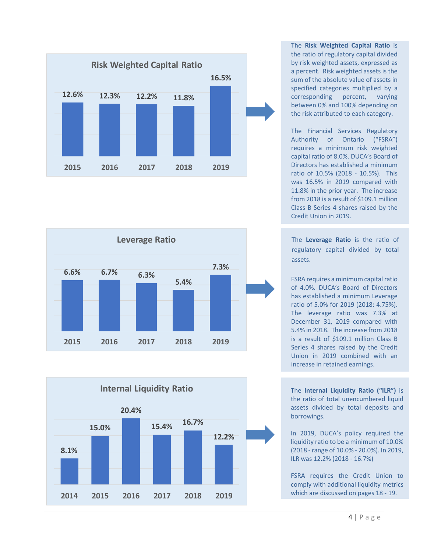





The **Risk Weighted Capital Ratio** is the ratio of regulatory capital divided by risk weighted assets, expressed as a percent. Risk weighted assets is the sum of the absolute value of assets in specified categories multiplied by a corresponding percent, varying between 0% and 100% depending on the risk attributed to each category.

The Financial Services Regulatory Authority of Ontario ("FSRA") requires a minimum risk weighted capital ratio of 8.0%. DUCA's Board of Directors has established a minimum ratio of 10.5% (2018 - 10.5%). This was 16.5% in 2019 compared with 11.8% in the prior year. The increase from 2018 is a result of \$109.1 million Class B Series 4 shares raised by the Credit Union in 2019.

The **Leverage Ratio** is the ratio of regulatory capital divided by total assets.

FSRA requires a minimum capital ratio of 4.0%. DUCA's Board of Directors has established a minimum Leverage ratio of 5.0% for 2019 (2018: 4.75%). The leverage ratio was 7.3% at December 31, 2019 compared with 5.4% in 2018. The increase from 2018 is a result of \$109.1 million Class B Series 4 shares raised by the Credit Union in 2019 combined with an increase in retained earnings.

The **Internal Liquidity Ratio ("ILR")** is the ratio of total unencumbered liquid assets divided by total deposits and borrowings.

In 2019, DUCA's policy required the liquidity ratio to be a minimum of 10.0% (2018 - range of 10.0% - 20.0%). In 2019, ILR was 12.2% (2018 - 16.7%)

FSRA requires the Credit Union to comply with additional liquidity metrics which are discussed on pages 18 - 19.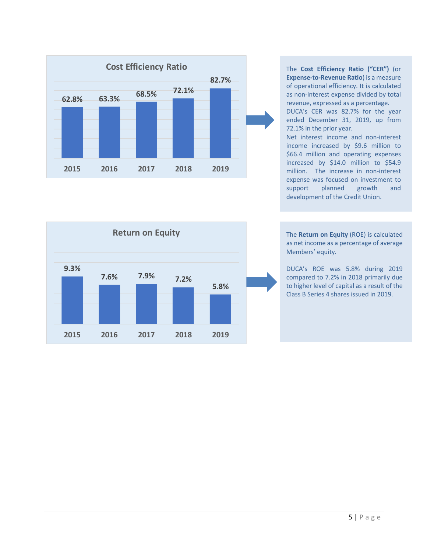

The **Cost Efficiency Ratio ("CER")** (or **Expense-to-Revenue Ratio**) is a measure of operational efficiency. It is calculated as non-interest expense divided by total revenue, expressed as a percentage. DUCA's CER was 82.7% for the year

ended December 31, 2019, up from 72.1% in the prior year.

Net interest income and non-interest income increased by \$9.6 million to \$66.4 million and operating expenses increased by \$14.0 million to \$54.9 million. The increase in non-interest expense was focused on investment to support planned growth and development of the Credit Union.



The **Return on Equity** (ROE) is calculated as net income as a percentage of average Members' equity.

DUCA's ROE was 5.8% during 2019 compared to 7.2% in 2018 primarily due to higher level of capital as a result of the Class B Series 4 shares issued in 2019.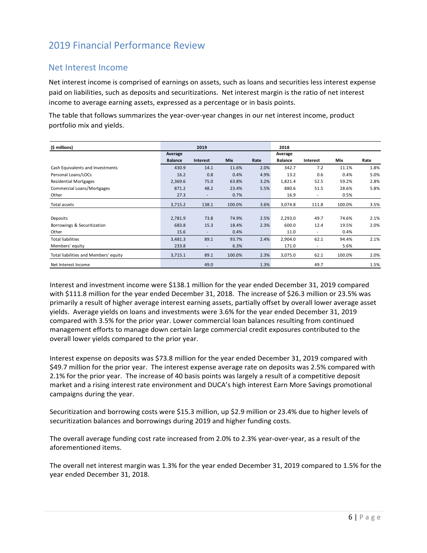# 2019 Financial Performance Review

### Net Interest Income

Net interest income is comprised of earnings on assets, such as loans and securities less interest expense paid on liabilities, such as deposits and securitizations. Net interest margin is the ratio of net interest income to average earning assets, expressed as a percentage or in basis points.

The table that follows summarizes the year-over-year changes in our net interest income, product portfolio mix and yields.

| (\$ millions)                         |                | 2019                     |            |      | 2018           |                          |        |      |
|---------------------------------------|----------------|--------------------------|------------|------|----------------|--------------------------|--------|------|
|                                       | Average        |                          |            |      | Average        |                          |        |      |
|                                       | <b>Balance</b> | Interest                 | <b>Mix</b> | Rate | <b>Balance</b> | Interest                 | Mix    | Rate |
| Cash Equivalents and Investments      | 430.9          | 14.1                     | 11.6%      | 2.0% | 342.7          | 7.2                      | 11.1%  | 1.8% |
| Personal Loans/LOCs                   | 16.2           | 0.8                      | 0.4%       | 4.9% | 13.2           | 0.6                      | 0.4%   | 5.0% |
| <b>Residential Mortgages</b>          | 2,369.6        | 75.0                     | 63.8%      | 3.2% | 1,821.4        | 52.5                     | 59.2%  | 2.8% |
| Commercial Loans/Mortgages            | 871.2          | 48.2                     | 23.4%      | 5.5% | 880.6          | 51.5                     | 28.6%  | 5.8% |
| Other                                 | 27.3           | $\overline{\phantom{a}}$ | 0.7%       |      | 16.9           | $\overline{\phantom{a}}$ | 0.5%   |      |
| Total assets                          | 3,715.2        | 138.1                    | 100.0%     | 3.6% | 3,074.8        | 111.8                    | 100.0% | 3.5% |
|                                       |                |                          |            |      |                |                          |        |      |
| Deposits                              | 2,781.9        | 73.8                     | 74.9%      | 2.5% | 2,293.0        | 49.7                     | 74.6%  | 2.1% |
| Borrowings & Securitization           | 683.8          | 15.3                     | 18.4%      | 2.3% | 600.0          | 12.4                     | 19.5%  | 2.0% |
| Other                                 | 15.6           | ٠                        | 0.4%       |      | 11.0           | $\overline{\phantom{a}}$ | 0.4%   |      |
| <b>Total liabilities</b>              | 3,481.3        | 89.1                     | 93.7%      | 2.4% | 2,904.0        | 62.1                     | 94.4%  | 2.1% |
| Members' equity                       | 233.8          | $\overline{\phantom{a}}$ | 6.3%       |      | 171.0          | $\overline{\phantom{a}}$ | 5.6%   |      |
| Total liabilities and Members' equity | 3,715.1        | 89.1                     | 100.0%     | 2.3% | 3,075.0        | 62.1                     | 100.0% | 2.0% |
| Net Interest Income                   |                | 49.0                     |            | 1.3% |                | 49.7                     |        | 1.5% |

Interest and investment income were \$138.1 million for the year ended December 31, 2019 compared with \$111.8 million for the year ended December 31, 2018. The increase of \$26.3 million or 23.5% was primarily a result of higher average interest earning assets, partially offset by overall lower average asset yields. Average yields on loans and investments were 3.6% for the year ended December 31, 2019 compared with 3.5% for the prior year. Lower commercial loan balances resulting from continued management efforts to manage down certain large commercial credit exposures contributed to the overall lower yields compared to the prior year.

Interest expense on deposits was \$73.8 million for the year ended December 31, 2019 compared with \$49.7 million for the prior year. The interest expense average rate on deposits was 2.5% compared with 2.1% for the prior year. The increase of 40 basis points was largely a result of a competitive deposit market and a rising interest rate environment and DUCA's high interest Earn More Savings promotional campaigns during the year.

Securitization and borrowing costs were \$15.3 million, up \$2.9 million or 23.4% due to higher levels of securitization balances and borrowings during 2019 and higher funding costs.

The overall average funding cost rate increased from 2.0% to 2.3% year-over-year, as a result of the aforementioned items.

The overall net interest margin was 1.3% for the year ended December 31, 2019 compared to 1.5% for the year ended December 31, 2018.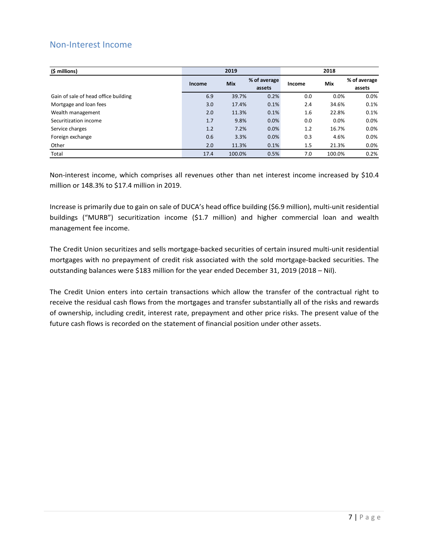### Non-Interest Income

| (\$ millions)                        |        | 2019       |                        | 2018   |        |                        |
|--------------------------------------|--------|------------|------------------------|--------|--------|------------------------|
|                                      | Income | <b>Mix</b> | % of average<br>assets | Income | Mix    | % of average<br>assets |
| Gain of sale of head office building | 6.9    | 39.7%      | 0.2%                   | 0.0    | 0.0%   | $0.0\%$                |
| Mortgage and loan fees               | 3.0    | 17.4%      | 0.1%                   | 2.4    | 34.6%  | 0.1%                   |
| Wealth management                    | 2.0    | 11.3%      | 0.1%                   | 1.6    | 22.8%  | 0.1%                   |
| Securitization income                | 1.7    | 9.8%       | 0.0%                   | 0.0    | 0.0%   | 0.0%                   |
| Service charges                      | 1.2    | 7.2%       | 0.0%                   | 1.2    | 16.7%  | 0.0%                   |
| Foreign exchange                     | 0.6    | 3.3%       | 0.0%                   | 0.3    | 4.6%   | 0.0%                   |
| Other                                | 2.0    | 11.3%      | 0.1%                   | 1.5    | 21.3%  | 0.0%                   |
| Total                                | 17.4   | 100.0%     | 0.5%                   | 7.0    | 100.0% | 0.2%                   |

Non-interest income, which comprises all revenues other than net interest income increased by \$10.4 million or 148.3% to \$17.4 million in 2019.

Increase is primarily due to gain on sale of DUCA's head office building (\$6.9 million), multi-unit residential buildings ("MURB") securitization income (\$1.7 million) and higher commercial loan and wealth management fee income.

The Credit Union securitizes and sells mortgage-backed securities of certain insured multi-unit residential mortgages with no prepayment of credit risk associated with the sold mortgage-backed securities. The outstanding balances were \$183 million for the year ended December 31, 2019 (2018 – Nil).

The Credit Union enters into certain transactions which allow the transfer of the contractual right to receive the residual cash flows from the mortgages and transfer substantially all of the risks and rewards of ownership, including credit, interest rate, prepayment and other price risks. The present value of the future cash flows is recorded on the statement of financial position under other assets.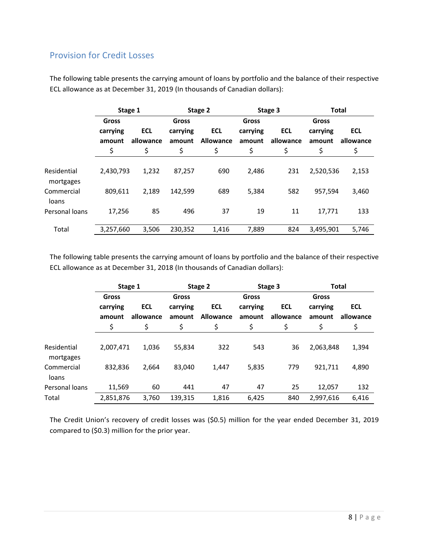### Provision for Credit Losses

|                          | Stage 1            |                         |                    | Stage 2                        |                    | Stage 3                 | <b>Total</b>       |                         |
|--------------------------|--------------------|-------------------------|--------------------|--------------------------------|--------------------|-------------------------|--------------------|-------------------------|
|                          | Gross              |                         | Gross              |                                | Gross              |                         | Gross              |                         |
|                          | carrying<br>amount | <b>ECL</b><br>allowance | carrying<br>amount | <b>ECL</b><br><b>Allowance</b> | carrying<br>amount | <b>ECL</b><br>allowance | carrying<br>amount | <b>ECL</b><br>allowance |
|                          | \$                 | \$                      | \$                 | \$                             | \$                 | \$                      | \$                 | \$                      |
| Residential<br>mortgages | 2,430,793          | 1,232                   | 87,257             | 690                            | 2,486              | 231                     | 2,520,536          | 2,153                   |
| Commercial<br>loans      | 809,611            | 2,189                   | 142,599            | 689                            | 5,384              | 582                     | 957,594            | 3,460                   |
| Personal loans           | 17,256             | 85                      | 496                | 37                             | 19                 | 11                      | 17,771             | 133                     |
| Total                    | 3,257,660          | 3,506                   | 230,352            | 1,416                          | 7,889              | 824                     | 3,495,901          | 5,746                   |

The following table presents the carrying amount of loans by portfolio and the balance of their respective ECL allowance as at December 31, 2019 (In thousands of Canadian dollars):

The following table presents the carrying amount of loans by portfolio and the balance of their respective ECL allowance as at December 31, 2018 (In thousands of Canadian dollars):

|                          | Stage 1   |            |          | Stage 2          |          | Stage 3    | <b>Total</b> |            |
|--------------------------|-----------|------------|----------|------------------|----------|------------|--------------|------------|
|                          | Gross     |            | Gross    |                  | Gross    |            | <b>Gross</b> |            |
|                          | carrying  | <b>ECL</b> | carrying | <b>ECL</b>       | carrying | <b>ECL</b> | carrying     | <b>ECL</b> |
|                          | amount    | allowance  | amount   | <b>Allowance</b> | amount   | allowance  | amount       | allowance  |
|                          | \$        | \$         | \$       | \$               | \$       | \$         | \$           | \$         |
|                          |           |            |          |                  |          |            |              |            |
| Residential<br>mortgages | 2,007,471 | 1,036      | 55,834   | 322              | 543      | 36         | 2,063,848    | 1,394      |
| Commercial<br>loans      | 832,836   | 2,664      | 83,040   | 1,447            | 5,835    | 779        | 921.711      | 4,890      |
| Personal loans           | 11,569    | 60         | 441      | 47               | 47       | 25         | 12.057       | 132        |
| Total                    | 2,851,876 | 3.760      | 139,315  | 1,816            | 6,425    | 840        | 2,997,616    | 6,416      |

The Credit Union's recovery of credit losses was (\$0.5) million for the year ended December 31, 2019 compared to (\$0.3) million for the prior year.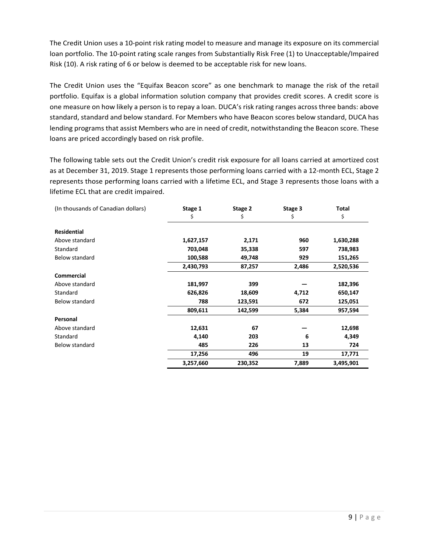The Credit Union uses a 10-point risk rating model to measure and manage its exposure on its commercial loan portfolio. The 10-point rating scale ranges from Substantially Risk Free (1) to Unacceptable/Impaired Risk (10). A risk rating of 6 or below is deemed to be acceptable risk for new loans.

The Credit Union uses the "Equifax Beacon score" as one benchmark to manage the risk of the retail portfolio. Equifax is a global information solution company that provides credit scores. A credit score is one measure on how likely a person is to repay a loan. DUCA's risk rating ranges across three bands: above standard, standard and below standard. For Members who have Beacon scores below standard, DUCA has lending programs that assist Members who are in need of credit, notwithstanding the Beacon score. These loans are priced accordingly based on risk profile.

The following table sets out the Credit Union's credit risk exposure for all loans carried at amortized cost as at December 31, 2019. Stage 1 represents those performing loans carried with a 12-month ECL, Stage 2 represents those performing loans carried with a lifetime ECL, and Stage 3 represents those loans with a lifetime ECL that are credit impaired.

| (In thousands of Canadian dollars) | Stage 1   | Stage 2 | Stage 3 | Total     |
|------------------------------------|-----------|---------|---------|-----------|
|                                    | Ş         | \$      | \$      | \$        |
| <b>Residential</b>                 |           |         |         |           |
| Above standard                     | 1,627,157 | 2,171   | 960     | 1,630,288 |
| Standard                           | 703,048   | 35,338  | 597     | 738,983   |
| Below standard                     | 100,588   | 49,748  | 929     | 151,265   |
|                                    | 2,430,793 | 87,257  | 2,486   | 2,520,536 |
| <b>Commercial</b>                  |           |         |         |           |
| Above standard                     | 181,997   | 399     |         | 182,396   |
| Standard                           | 626,826   | 18,609  | 4,712   | 650,147   |
| Below standard                     | 788       | 123,591 | 672     | 125,051   |
|                                    | 809,611   | 142,599 | 5,384   | 957,594   |
| Personal                           |           |         |         |           |
| Above standard                     | 12,631    | 67      |         | 12,698    |
| Standard                           | 4,140     | 203     | 6       | 4,349     |
| Below standard                     | 485       | 226     | 13      | 724       |
|                                    | 17,256    | 496     | 19      | 17,771    |
|                                    | 3,257,660 | 230,352 | 7,889   | 3,495,901 |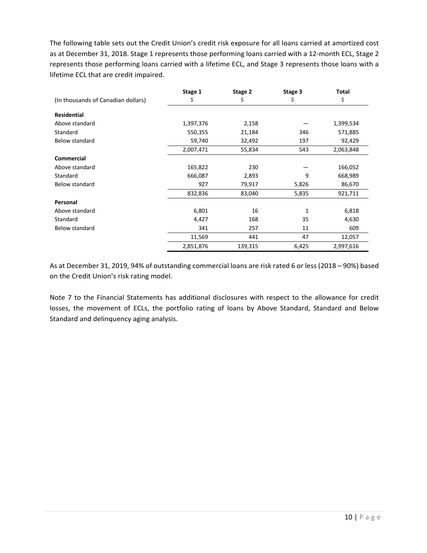The following table sets out the Credit Union's credit risk exposure for all loans carried at amortized cost as at December 31, 2018. Stage 1 represents those performing loans carried with a 12-month ECL, Stage 2 represents those performing loans carried with a lifetime ECL, and Stage 3 represents those loans with a lifetime ECL that are credit impaired.

|                                    | Stage 1   | Stage 2 | Stage 3 | <b>Total</b> |
|------------------------------------|-----------|---------|---------|--------------|
| (In thousands of Canadian dollars) | Ş         | Ş       | Ş       | \$           |
| <b>Residential</b>                 |           |         |         |              |
| Above standard                     | 1,397,376 | 2,158   |         | 1,399,534    |
| Standard                           | 550,355   | 21,184  | 346     | 571,885      |
| <b>Below standard</b>              | 59,740    | 32,492  | 197     | 92,429       |
|                                    | 2,007,471 | 55,834  | 543     | 2,063,848    |
| <b>Commercial</b>                  |           |         |         |              |
| Above standard                     | 165,822   | 230     |         | 166,052      |
| Standard                           | 666,087   | 2,893   | 9       | 668,989      |
| <b>Below standard</b>              | 927       | 79,917  | 5,826   | 86,670       |
|                                    | 832,836   | 83,040  | 5,835   | 921,711      |
| Personal                           |           |         |         |              |
| Above standard                     | 6,801     | 16      | 1       | 6,818        |
| Standard                           | 4,427     | 168     | 35      | 4,630        |
| <b>Below standard</b>              | 341       | 257     | 11      | 609          |
|                                    | 11,569    | 441     | 47      | 12,057       |
|                                    | 2,851,876 | 139,315 | 6,425   | 2,997,616    |

As at December 31, 2019, 94% of outstanding commercial loans are risk rated 6 or less (2018 – 90%) based on the Credit Union's risk rating model.

Note 7 to the Financial Statements has additional disclosures with respect to the allowance for credit losses, the movement of ECLs, the portfolio rating of loans by Above Standard, Standard and Below Standard and delinquency aging analysis.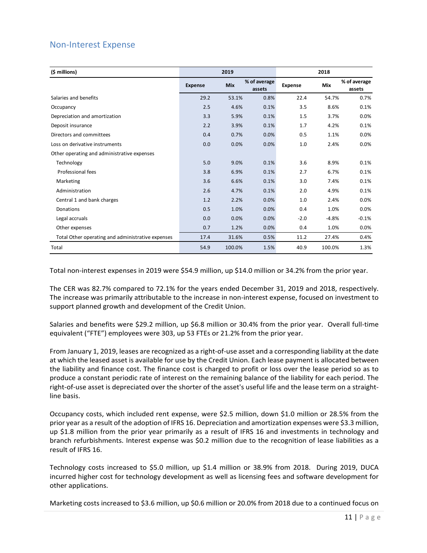### Non-Interest Expense

| (\$ millions)                                     |                | 2019       |                        |                | 2018    |                        |
|---------------------------------------------------|----------------|------------|------------------------|----------------|---------|------------------------|
|                                                   | <b>Expense</b> | <b>Mix</b> | % of average<br>assets | <b>Expense</b> | Mix     | % of average<br>assets |
| Salaries and benefits                             | 29.2           | 53.1%      | 0.8%                   | 22.4           | 54.7%   | 0.7%                   |
| Occupancy                                         | 2.5            | 4.6%       | 0.1%                   | 3.5            | 8.6%    | 0.1%                   |
| Depreciation and amortization                     | 3.3            | 5.9%       | 0.1%                   | 1.5            | 3.7%    | 0.0%                   |
| Deposit insurance                                 | 2.2            | 3.9%       | 0.1%                   | 1.7            | 4.2%    | 0.1%                   |
| Directors and committees                          | 0.4            | 0.7%       | 0.0%                   | 0.5            | 1.1%    | 0.0%                   |
| Loss on derivative instruments                    | 0.0            | 0.0%       | 0.0%                   | 1.0            | 2.4%    | 0.0%                   |
| Other operating and administrative expenses       |                |            |                        |                |         |                        |
| Technology                                        | 5.0            | 9.0%       | 0.1%                   | 3.6            | 8.9%    | 0.1%                   |
| Professional fees                                 | 3.8            | 6.9%       | 0.1%                   | 2.7            | 6.7%    | 0.1%                   |
| Marketing                                         | 3.6            | 6.6%       | 0.1%                   | 3.0            | 7.4%    | 0.1%                   |
| Administration                                    | 2.6            | 4.7%       | 0.1%                   | 2.0            | 4.9%    | 0.1%                   |
| Central 1 and bank charges                        | 1.2            | 2.2%       | 0.0%                   | 1.0            | 2.4%    | 0.0%                   |
| Donations                                         | 0.5            | 1.0%       | 0.0%                   | 0.4            | 1.0%    | 0.0%                   |
| Legal accruals                                    | 0.0            | 0.0%       | 0.0%                   | $-2.0$         | $-4.8%$ | $-0.1%$                |
| Other expenses                                    | 0.7            | 1.2%       | 0.0%                   | 0.4            | 1.0%    | 0.0%                   |
| Total Other operating and administrative expenses | 17.4           | 31.6%      | 0.5%                   | 11.2           | 27.4%   | 0.4%                   |
| Total                                             | 54.9           | 100.0%     | 1.5%                   | 40.9           | 100.0%  | 1.3%                   |

Total non-interest expenses in 2019 were \$54.9 million, up \$14.0 million or 34.2% from the prior year.

The CER was 82.7% compared to 72.1% for the years ended December 31, 2019 and 2018, respectively. The increase was primarily attributable to the increase in non-interest expense, focused on investment to support planned growth and development of the Credit Union.

Salaries and benefits were \$29.2 million, up \$6.8 million or 30.4% from the prior year. Overall full-time equivalent ("FTE") employees were 303, up 53 FTEs or 21.2% from the prior year.

From January 1, 2019, leases are recognized as a right-of-use asset and a corresponding liability at the date at which the leased asset is available for use by the Credit Union. Each lease payment is allocated between the liability and finance cost. The finance cost is charged to profit or loss over the lease period so as to produce a constant periodic rate of interest on the remaining balance of the liability for each period. The right-of-use asset is depreciated over the shorter of the asset's useful life and the lease term on a straightline basis.

Occupancy costs, which included rent expense, were \$2.5 million, down \$1.0 million or 28.5% from the prior year as a result of the adoption of IFRS 16. Depreciation and amortization expenses were \$3.3 million, up \$1.8 million from the prior year primarily as a result of IFRS 16 and investments in technology and branch refurbishments. Interest expense was \$0.2 million due to the recognition of lease liabilities as a result of IFRS 16.

Technology costs increased to \$5.0 million, up \$1.4 million or 38.9% from 2018. During 2019, DUCA incurred higher cost for technology development as well as licensing fees and software development for other applications.

Marketing costs increased to \$3.6 million, up \$0.6 million or 20.0% from 2018 due to a continued focus on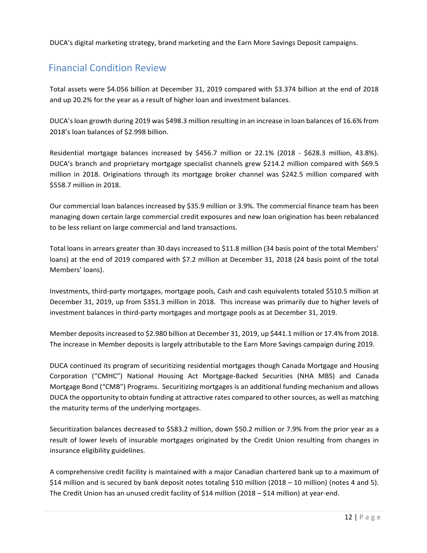DUCA's digital marketing strategy, brand marketing and the Earn More Savings Deposit campaigns.

# Financial Condition Review

Total assets were \$4.056 billion at December 31, 2019 compared with \$3.374 billion at the end of 2018 and up 20.2% for the year as a result of higher loan and investment balances.

DUCA's loan growth during 2019 was \$498.3 million resulting in an increase in loan balances of 16.6% from 2018's loan balances of \$2.998 billion.

Residential mortgage balances increased by \$456.7 million or 22.1% (2018 - \$628.3 million, 43.8%). DUCA's branch and proprietary mortgage specialist channels grew \$214.2 million compared with \$69.5 million in 2018. Originations through its mortgage broker channel was \$242.5 million compared with \$558.7 million in 2018.

Our commercial loan balances increased by \$35.9 million or 3.9%. The commercial finance team has been managing down certain large commercial credit exposures and new loan origination has been rebalanced to be less reliant on large commercial and land transactions.

Total loans in arrears greater than 30 days increased to \$11.8 million (34 basis point of the total Members' loans) at the end of 2019 compared with \$7.2 million at December 31, 2018 (24 basis point of the total Members' loans).

Investments, third-party mortgages, mortgage pools, Cash and cash equivalents totaled \$510.5 million at December 31, 2019, up from \$351.3 million in 2018. This increase was primarily due to higher levels of investment balances in third-party mortgages and mortgage pools as at December 31, 2019.

Member deposits increased to \$2.980 billion at December 31, 2019, up \$441.1 million or 17.4% from 2018. The increase in Member deposits is largely attributable to the Earn More Savings campaign during 2019.

DUCA continued its program of securitizing residential mortgages though Canada Mortgage and Housing Corporation ("CMHC") National Housing Act Mortgage-Backed Securities (NHA MBS) and Canada Mortgage Bond ("CMB") Programs. Securitizing mortgages is an additional funding mechanism and allows DUCA the opportunity to obtain funding at attractive rates compared to other sources, as well as matching the maturity terms of the underlying mortgages.

Securitization balances decreased to \$583.2 million, down \$50.2 million or 7.9% from the prior year as a result of lower levels of insurable mortgages originated by the Credit Union resulting from changes in insurance eligibility guidelines.

A comprehensive credit facility is maintained with a major Canadian chartered bank up to a maximum of \$14 million and is secured by bank deposit notes totaling \$10 million (2018 – 10 million) (notes 4 and 5). The Credit Union has an unused credit facility of \$14 million (2018 – \$14 million) at year-end.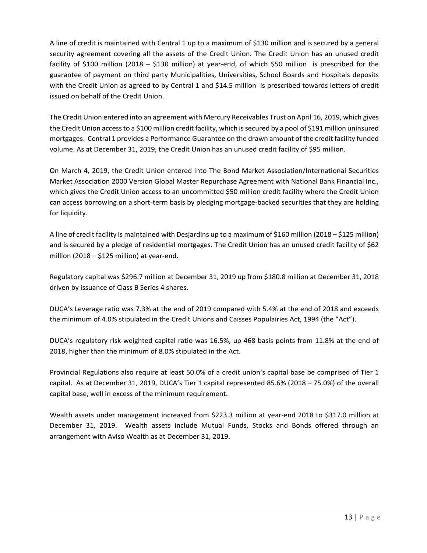A line of credit is maintained with Central 1 up to a maximum of \$130 million and is secured by a general security agreement covering all the assets of the Credit Union. The Credit Union has an unused credit facility of \$100 million (2018 – \$130 million) at year-end, of which \$50 million is prescribed for the guarantee of payment on third party Municipalities, Universities, School Boards and Hospitals deposits with the Credit Union as agreed to by Central 1 and \$14.5 million is prescribed towards letters of credit issued on behalf of the Credit Union.

The Credit Union entered into an agreement with Mercury Receivables Trust on April 16, 2019, which gives the Credit Union access to a \$100 million credit facility, which is secured by a pool of \$191 million uninsured mortgages. Central 1 provides a Performance Guarantee on the drawn amount of the credit facility funded volume. As at December 31, 2019, the Credit Union has an unused credit facility of \$95 million.

On March 4, 2019, the Credit Union entered into The Bond Market Association/International Securities Market Association 2000 Version Global Master Repurchase Agreement with National Bank Financial Inc., which gives the Credit Union access to an uncommitted \$50 million credit facility where the Credit Union can access borrowing on a short-term basis by pledging mortgage-backed securities that they are holding for liquidity.

A line of credit facility is maintained with Desjardins up to a maximum of \$160 million (2018 – \$125 million) and is secured by a pledge of residential mortgages. The Credit Union has an unused credit facility of \$62 million (2018 – \$125 million) at year-end.

Regulatory capital was \$296.7 million at December 31, 2019 up from \$180.8 million at December 31, 2018 driven by issuance of Class B Series 4 shares.

DUCA's Leverage ratio was 7.3% at the end of 2019 compared with 5.4% at the end of 2018 and exceeds the minimum of 4.0% stipulated in the Credit Unions and Caisses Populairies Act, 1994 (the "Act").

DUCA's regulatory risk-weighted capital ratio was 16.5%, up 468 basis points from 11.8% at the end of 2018, higher than the minimum of 8.0% stipulated in the Act.

Provincial Regulations also require at least 50.0% of a credit union's capital base be comprised of Tier 1 capital. As at December 31, 2019, DUCA's Tier 1 capital represented 85.6% (2018 – 75.0%) of the overall capital base, well in excess of the minimum requirement.

Wealth assets under management increased from \$223.3 million at year-end 2018 to \$317.0 million at December 31, 2019. Wealth assets include Mutual Funds, Stocks and Bonds offered through an arrangement with Aviso Wealth as at December 31, 2019.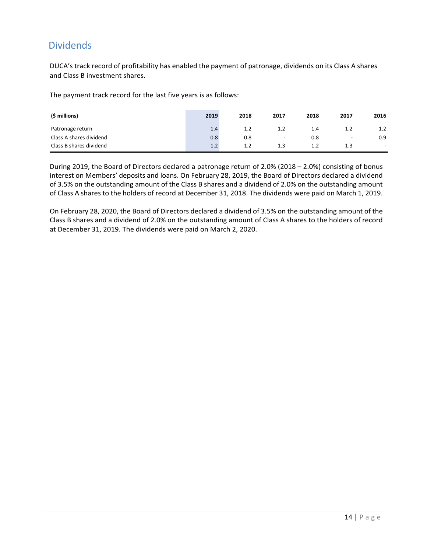# Dividends

DUCA's track record of profitability has enabled the payment of patronage, dividends on its Class A shares and Class B investment shares.

The payment track record for the last five years is as follows:

| (\$ millions)           | 2019 | 2018 | 2017 | 2018 | 2017                     | 2016                     |
|-------------------------|------|------|------|------|--------------------------|--------------------------|
| Patronage return        | 1.4  | 1.2  | 1.2  | 1.4  | 1.2                      | 1.2                      |
| Class A shares dividend | 0.8  | 0.8  | -    | 0.8  | $\overline{\phantom{a}}$ | 0.9                      |
| Class B shares dividend | 1.2  | 1.2  | 1.3  | 1.2  | 1.3                      | $\overline{\phantom{a}}$ |

During 2019, the Board of Directors declared a patronage return of 2.0% (2018 – 2.0%) consisting of bonus interest on Members' deposits and loans. On February 28, 2019, the Board of Directors declared a dividend of 3.5% on the outstanding amount of the Class B shares and a dividend of 2.0% on the outstanding amount of Class A shares to the holders of record at December 31, 2018. The dividends were paid on March 1, 2019.

On February 28, 2020, the Board of Directors declared a dividend of 3.5% on the outstanding amount of the Class B shares and a dividend of 2.0% on the outstanding amount of Class A shares to the holders of record at December 31, 2019. The dividends were paid on March 2, 2020.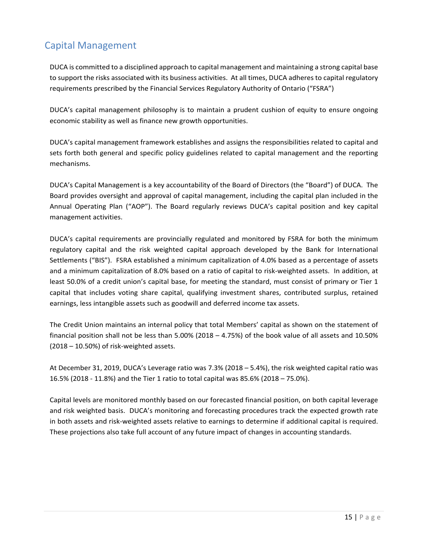# Capital Management

DUCA is committed to a disciplined approach to capital management and maintaining a strong capital base to support the risks associated with its business activities. At all times, DUCA adheres to capital regulatory requirements prescribed by the Financial Services Regulatory Authority of Ontario ("FSRA")

DUCA's capital management philosophy is to maintain a prudent cushion of equity to ensure ongoing economic stability as well as finance new growth opportunities.

DUCA's capital management framework establishes and assigns the responsibilities related to capital and sets forth both general and specific policy guidelines related to capital management and the reporting mechanisms.

DUCA's Capital Management is a key accountability of the Board of Directors (the "Board") of DUCA. The Board provides oversight and approval of capital management, including the capital plan included in the Annual Operating Plan ("AOP"). The Board regularly reviews DUCA's capital position and key capital management activities.

DUCA's capital requirements are provincially regulated and monitored by FSRA for both the minimum regulatory capital and the risk weighted capital approach developed by the Bank for International Settlements ("BIS"). FSRA established a minimum capitalization of 4.0% based as a percentage of assets and a minimum capitalization of 8.0% based on a ratio of capital to risk-weighted assets. In addition, at least 50.0% of a credit union's capital base, for meeting the standard, must consist of primary or Tier 1 capital that includes voting share capital, qualifying investment shares, contributed surplus, retained earnings, less intangible assets such as goodwill and deferred income tax assets.

The Credit Union maintains an internal policy that total Members' capital as shown on the statement of financial position shall not be less than 5.00% (2018 – 4.75%) of the book value of all assets and 10.50% (2018 – 10.50%) of risk-weighted assets.

At December 31, 2019, DUCA's Leverage ratio was 7.3% (2018 – 5.4%), the risk weighted capital ratio was 16.5% (2018 - 11.8%) and the Tier 1 ratio to total capital was 85.6% (2018 – 75.0%).

Capital levels are monitored monthly based on our forecasted financial position, on both capital leverage and risk weighted basis. DUCA's monitoring and forecasting procedures track the expected growth rate in both assets and risk-weighted assets relative to earnings to determine if additional capital is required. These projections also take full account of any future impact of changes in accounting standards.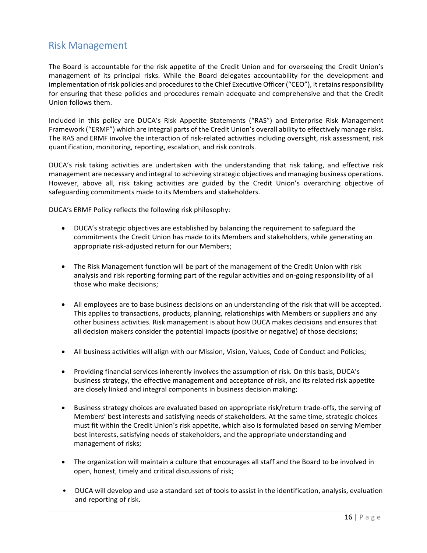### Risk Management

The Board is accountable for the risk appetite of the Credit Union and for overseeing the Credit Union's management of its principal risks. While the Board delegates accountability for the development and implementation of risk policies and procedures to the Chief Executive Officer ("CEO"), it retains responsibility for ensuring that these policies and procedures remain adequate and comprehensive and that the Credit Union follows them.

Included in this policy are DUCA's Risk Appetite Statements ("RAS") and Enterprise Risk Management Framework ("ERMF") which are integral parts of the Credit Union's overall ability to effectively manage risks. The RAS and ERMF involve the interaction of risk-related activities including oversight, risk assessment, risk quantification, monitoring, reporting, escalation, and risk controls.

DUCA's risk taking activities are undertaken with the understanding that risk taking, and effective risk management are necessary and integral to achieving strategic objectives and managing business operations. However, above all, risk taking activities are guided by the Credit Union's overarching objective of safeguarding commitments made to its Members and stakeholders.

DUCA's ERMF Policy reflects the following risk philosophy:

- DUCA's strategic objectives are established by balancing the requirement to safeguard the commitments the Credit Union has made to its Members and stakeholders, while generating an appropriate risk-adjusted return for our Members;
- The Risk Management function will be part of the management of the Credit Union with risk analysis and risk reporting forming part of the regular activities and on-going responsibility of all those who make decisions;
- All employees are to base business decisions on an understanding of the risk that will be accepted. This applies to transactions, products, planning, relationships with Members or suppliers and any other business activities. Risk management is about how DUCA makes decisions and ensures that all decision makers consider the potential impacts (positive or negative) of those decisions;
- All business activities will align with our Mission, Vision, Values, Code of Conduct and Policies;
- Providing financial services inherently involves the assumption of risk. On this basis, DUCA's business strategy, the effective management and acceptance of risk, and its related risk appetite are closely linked and integral components in business decision making;
- Business strategy choices are evaluated based on appropriate risk/return trade-offs, the serving of Members' best interests and satisfying needs of stakeholders. At the same time, strategic choices must fit within the Credit Union's risk appetite, which also is formulated based on serving Member best interests, satisfying needs of stakeholders, and the appropriate understanding and management of risks;
- The organization will maintain a culture that encourages all staff and the Board to be involved in open, honest, timely and critical discussions of risk;
- DUCA will develop and use a standard set of tools to assist in the identification, analysis, evaluation and reporting of risk.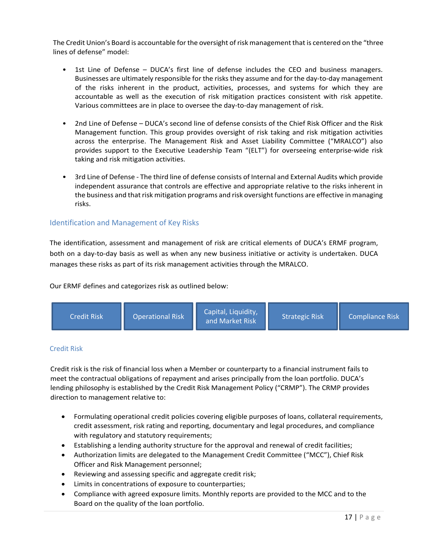The Credit Union's Board is accountable for the oversight of risk management that is centered on the "three lines of defense" model:

- 1st Line of Defense DUCA's first line of defense includes the CEO and business managers. Businesses are ultimately responsible for the risks they assume and for the day-to-day management of the risks inherent in the product, activities, processes, and systems for which they are accountable as well as the execution of risk mitigation practices consistent with risk appetite. Various committees are in place to oversee the day-to-day management of risk.
- 2nd Line of Defense DUCA's second line of defense consists of the Chief Risk Officer and the Risk Management function. This group provides oversight of risk taking and risk mitigation activities across the enterprise. The Management Risk and Asset Liability Committee ("MRALCO") also provides support to the Executive Leadership Team "(ELT") for overseeing enterprise-wide risk taking and risk mitigation activities.
- 3rd Line of Defense The third line of defense consists of Internal and External Audits which provide independent assurance that controls are effective and appropriate relative to the risks inherent in the business and that risk mitigation programs and risk oversight functions are effective in managing risks.

### Identification and Management of Key Risks

The identification, assessment and management of risk are critical elements of DUCA's ERMF program, both on a day-to-day basis as well as when any new business initiative or activity is undertaken. DUCA manages these risks as part of its risk management activities through the MRALCO.

Our ERMF defines and categorizes risk as outlined below:



#### Credit Risk

Credit risk is the risk of financial loss when a Member or counterparty to a financial instrument fails to meet the contractual obligations of repayment and arises principally from the loan portfolio. DUCA's lending philosophy is established by the Credit Risk Management Policy ("CRMP"). The CRMP provides direction to management relative to:

- Formulating operational credit policies covering eligible purposes of loans, collateral requirements, credit assessment, risk rating and reporting, documentary and legal procedures, and compliance with regulatory and statutory requirements;
- Establishing a lending authority structure for the approval and renewal of credit facilities;
- Authorization limits are delegated to the Management Credit Committee ("MCC"), Chief Risk Officer and Risk Management personnel;
- Reviewing and assessing specific and aggregate credit risk;
- Limits in concentrations of exposure to counterparties;
- Compliance with agreed exposure limits. Monthly reports are provided to the MCC and to the Board on the quality of the loan portfolio.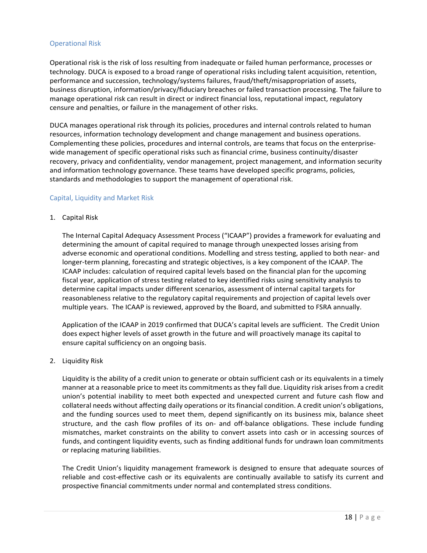### Operational Risk

Operational risk is the risk of loss resulting from inadequate or failed human performance, processes or technology. DUCA is exposed to a broad range of operational risks including talent acquisition, retention, performance and succession, technology/systems failures, fraud/theft/misappropriation of assets, business disruption, information/privacy/fiduciary breaches or failed transaction processing. The failure to manage operational risk can result in direct or indirect financial loss, reputational impact, regulatory censure and penalties, or failure in the management of other risks.

DUCA manages operational risk through its policies, procedures and internal controls related to human resources, information technology development and change management and business operations. Complementing these policies, procedures and internal controls, are teams that focus on the enterprisewide management of specific operational risks such as financial crime, business continuity/disaster recovery, privacy and confidentiality, vendor management, project management, and information security and information technology governance. These teams have developed specific programs, policies, standards and methodologies to support the management of operational risk.

### Capital, Liquidity and Market Risk

1. Capital Risk

The Internal Capital Adequacy Assessment Process ("ICAAP") provides a framework for evaluating and determining the amount of capital required to manage through unexpected losses arising from adverse economic and operational conditions. Modelling and stress testing, applied to both near- and longer-term planning, forecasting and strategic objectives, is a key component of the ICAAP. The ICAAP includes: calculation of required capital levels based on the financial plan for the upcoming fiscal year, application of stress testing related to key identified risks using sensitivity analysis to determine capital impacts under different scenarios, assessment of internal capital targets for reasonableness relative to the regulatory capital requirements and projection of capital levels over multiple years. The ICAAP is reviewed, approved by the Board, and submitted to FSRA annually.

Application of the ICAAP in 2019 confirmed that DUCA's capital levels are sufficient. The Credit Union does expect higher levels of asset growth in the future and will proactively manage its capital to ensure capital sufficiency on an ongoing basis.

2. Liquidity Risk

Liquidity is the ability of a credit union to generate or obtain sufficient cash or its equivalents in a timely manner at a reasonable price to meet its commitments as they fall due. Liquidity risk arises from a credit union's potential inability to meet both expected and unexpected current and future cash flow and collateral needs without affecting daily operations or its financial condition. A credit union's obligations, and the funding sources used to meet them, depend significantly on its business mix, balance sheet structure, and the cash flow profiles of its on- and off-balance obligations. These include funding mismatches, market constraints on the ability to convert assets into cash or in accessing sources of funds, and contingent liquidity events, such as finding additional funds for undrawn loan commitments or replacing maturing liabilities.

The Credit Union's liquidity management framework is designed to ensure that adequate sources of reliable and cost-effective cash or its equivalents are continually available to satisfy its current and prospective financial commitments under normal and contemplated stress conditions.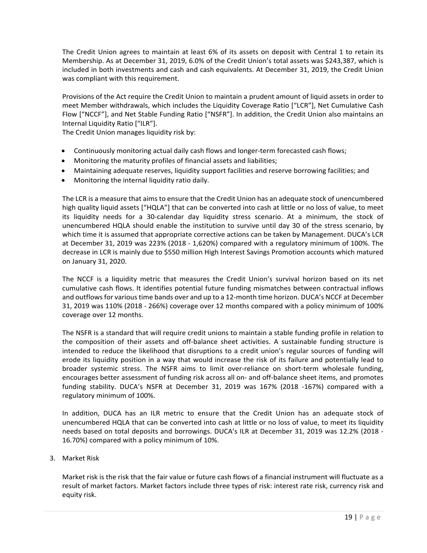The Credit Union agrees to maintain at least 6% of its assets on deposit with Central 1 to retain its Membership. As at December 31, 2019, 6.0% of the Credit Union's total assets was \$243,387, which is included in both investments and cash and cash equivalents. At December 31, 2019, the Credit Union was compliant with this requirement.

Provisions of the Act require the Credit Union to maintain a prudent amount of liquid assets in order to meet Member withdrawals, which includes the Liquidity Coverage Ratio ["LCR"], Net Cumulative Cash Flow ["NCCF"], and Net Stable Funding Ratio ["NSFR"]. In addition, the Credit Union also maintains an Internal Liquidity Ratio ["ILR"].

The Credit Union manages liquidity risk by:

- Continuously monitoring actual daily cash flows and longer-term forecasted cash flows;
- Monitoring the maturity profiles of financial assets and liabilities;
- Maintaining adequate reserves, liquidity support facilities and reserve borrowing facilities; and
- Monitoring the internal liquidity ratio daily.

The LCR is a measure that aims to ensure that the Credit Union has an adequate stock of unencumbered high quality liquid assets ["HQLA"] that can be converted into cash at little or no loss of value, to meet its liquidity needs for a 30-calendar day liquidity stress scenario. At a minimum, the stock of unencumbered HQLA should enable the institution to survive until day 30 of the stress scenario, by which time it is assumed that appropriate corrective actions can be taken by Management. DUCA's LCR at December 31, 2019 was 223% (2018 - 1,620%) compared with a regulatory minimum of 100%. The decrease in LCR is mainly due to \$550 million High Interest Savings Promotion accounts which matured on January 31, 2020.

The NCCF is a liquidity metric that measures the Credit Union's survival horizon based on its net cumulative cash flows. It identifies potential future funding mismatches between contractual inflows and outflows for various time bands over and up to a 12-month time horizon. DUCA's NCCF at December 31, 2019 was 110% (2018 - 266%) coverage over 12 months compared with a policy minimum of 100% coverage over 12 months.

The NSFR is a standard that will require credit unions to maintain a stable funding profile in relation to the composition of their assets and off-balance sheet activities. A sustainable funding structure is intended to reduce the likelihood that disruptions to a credit union's regular sources of funding will erode its liquidity position in a way that would increase the risk of its failure and potentially lead to broader systemic stress. The NSFR aims to limit over-reliance on short-term wholesale funding, encourages better assessment of funding risk across all on- and off-balance sheet items, and promotes funding stability. DUCA's NSFR at December 31, 2019 was 167% (2018 -167%) compared with a regulatory minimum of 100%.

In addition, DUCA has an ILR metric to ensure that the Credit Union has an adequate stock of unencumbered HQLA that can be converted into cash at little or no loss of value, to meet its liquidity needs based on total deposits and borrowings. DUCA's ILR at December 31, 2019 was 12.2% (2018 - 16.70%) compared with a policy minimum of 10%.

3. Market Risk

Market risk is the risk that the fair value or future cash flows of a financial instrument will fluctuate as a result of market factors. Market factors include three types of risk: interest rate risk, currency risk and equity risk.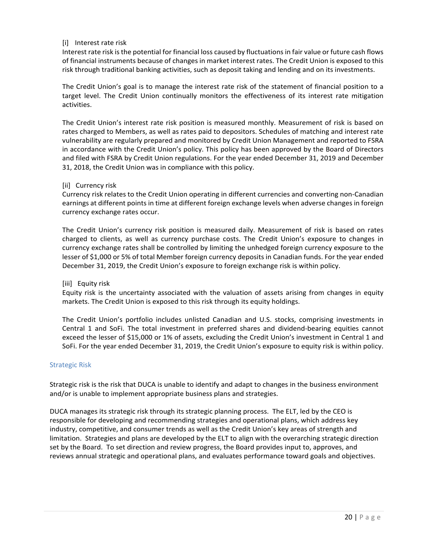### [i] Interest rate risk

Interest rate risk is the potential for financial loss caused by fluctuations in fair value or future cash flows of financial instruments because of changes in market interest rates. The Credit Union is exposed to this risk through traditional banking activities, such as deposit taking and lending and on its investments.

The Credit Union's goal is to manage the interest rate risk of the statement of financial position to a target level. The Credit Union continually monitors the effectiveness of its interest rate mitigation activities.

The Credit Union's interest rate risk position is measured monthly. Measurement of risk is based on rates charged to Members, as well as rates paid to depositors. Schedules of matching and interest rate vulnerability are regularly prepared and monitored by Credit Union Management and reported to FSRA in accordance with the Credit Union's policy. This policy has been approved by the Board of Directors and filed with FSRA by Credit Union regulations. For the year ended December 31, 2019 and December 31, 2018, the Credit Union was in compliance with this policy.

#### [ii] Currency risk

Currency risk relates to the Credit Union operating in different currencies and converting non-Canadian earnings at different points in time at different foreign exchange levels when adverse changes in foreign currency exchange rates occur.

The Credit Union's currency risk position is measured daily. Measurement of risk is based on rates charged to clients, as well as currency purchase costs. The Credit Union's exposure to changes in currency exchange rates shall be controlled by limiting the unhedged foreign currency exposure to the lesser of \$1,000 or 5% of total Member foreign currency deposits in Canadian funds. For the year ended December 31, 2019, the Credit Union's exposure to foreign exchange risk is within policy.

#### [iii] Equity risk

Equity risk is the uncertainty associated with the valuation of assets arising from changes in equity markets. The Credit Union is exposed to this risk through its equity holdings.

The Credit Union's portfolio includes unlisted Canadian and U.S. stocks, comprising investments in Central 1 and SoFi. The total investment in preferred shares and dividend-bearing equities cannot exceed the lesser of \$15,000 or 1% of assets, excluding the Credit Union's investment in Central 1 and SoFi. For the year ended December 31, 2019, the Credit Union's exposure to equity risk is within policy.

#### Strategic Risk

Strategic risk is the risk that DUCA is unable to identify and adapt to changes in the business environment and/or is unable to implement appropriate business plans and strategies.

DUCA manages its strategic risk through its strategic planning process. The ELT, led by the CEO is responsible for developing and recommending strategies and operational plans, which address key industry, competitive, and consumer trends as well as the Credit Union's key areas of strength and limitation. Strategies and plans are developed by the ELT to align with the overarching strategic direction set by the Board. To set direction and review progress, the Board provides input to, approves, and reviews annual strategic and operational plans, and evaluates performance toward goals and objectives.